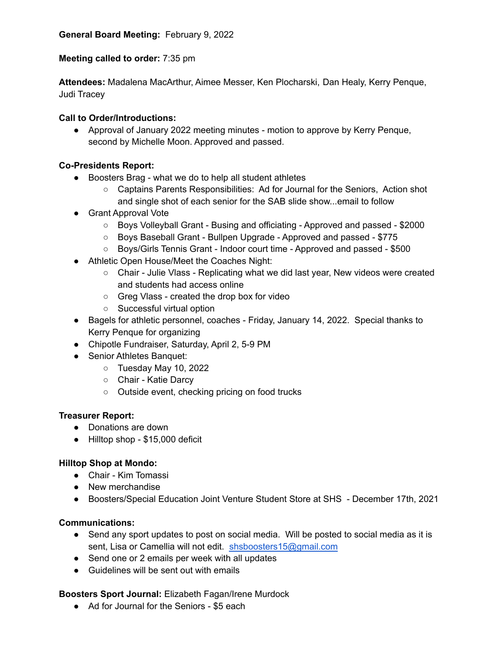## **Meeting called to order:** 7:35 pm

**Attendees:** Madalena MacArthur, Aimee Messer, Ken Plocharski, Dan Healy, Kerry Penque, Judi Tracey

## **Call to Order/Introductions:**

● Approval of January 2022 meeting minutes - motion to approve by Kerry Penque, second by Michelle Moon. Approved and passed.

### **Co-Presidents Report:**

- Boosters Brag what we do to help all student athletes
	- Captains Parents Responsibilities: Ad for Journal for the Seniors, Action shot and single shot of each senior for the SAB slide show...email to follow
- Grant Approval Vote
	- Boys Volleyball Grant Busing and officiating Approved and passed \$2000
	- Boys Baseball Grant Bullpen Upgrade Approved and passed \$775
	- Boys/Girls Tennis Grant Indoor court time Approved and passed \$500
- Athletic Open House/Meet the Coaches Night:
	- Chair Julie Vlass Replicating what we did last year, New videos were created and students had access online
	- Greg Vlass created the drop box for video
	- Successful virtual option
- Bagels for athletic personnel, coaches Friday, January 14, 2022. Special thanks to Kerry Penque for organizing
- Chipotle Fundraiser, Saturday, April 2, 5-9 PM
- Senior Athletes Banquet:
	- Tuesday May 10, 2022
	- Chair Katie Darcy
	- Outside event, checking pricing on food trucks

#### **Treasurer Report:**

- Donations are down
- Hilltop shop \$15,000 deficit

#### **Hilltop Shop at Mondo:**

- Chair Kim Tomassi
- New merchandise
- Boosters/Special Education Joint Venture Student Store at SHS December 17th, 2021

#### **Communications:**

- Send any sport updates to post on social media. Will be posted to social media as it is sent, Lisa or Camellia will not edit. [shsboosters15@gmail.com](mailto:shsboosters15@gmail.com)
- Send one or 2 emails per week with all updates
- Guidelines will be sent out with emails

## **Boosters Sport Journal:** Elizabeth Fagan/Irene Murdock

● Ad for Journal for the Seniors - \$5 each